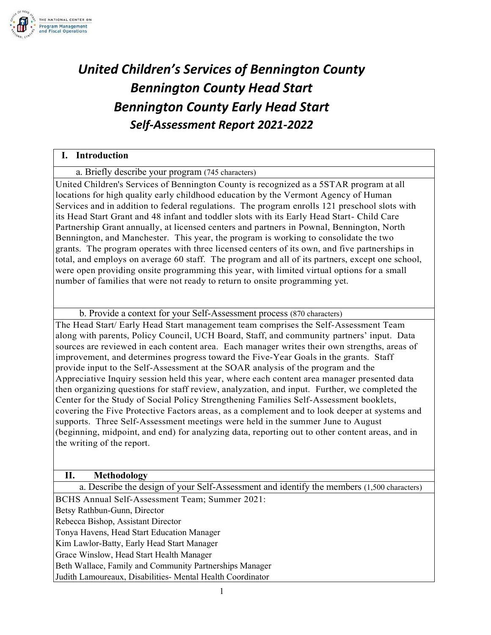

# *United Children's Services of Bennington County Bennington County Head Start Bennington County Early Head Start Self-Assessment Report 2021-2022*

## **I. Introduction** a. Briefly describe your program (745 characters) United Children's Services of Bennington County is recognized as a 5STAR program at all locations for high quality early childhood education by the Vermont Agency of Human Services and in addition to federal regulations. The program enrolls 121 preschool slots with its Head Start Grant and 48 infant and toddler slots with its Early Head Start- Child Care Partnership Grant annually, at licensed centers and partners in Pownal, Bennington, North Bennington, and Manchester. This year, the program is working to consolidate the two grants. The program operates with three licensed centers of its own, and five partnerships in total, and employs on average 60 staff. The program and all of its partners, except one school, were open providing onsite programming this year, with limited virtual options for a small number of families that were not ready to return to onsite programming yet.

b. Provide a context for your Self-Assessment process (870 characters)

The Head Start/ Early Head Start management team comprises the Self-Assessment Team along with parents, Policy Council, UCH Board, Staff, and community partners' input. Data sources are reviewed in each content area. Each manager writes their own strengths, areas of improvement, and determines progress toward the Five-Year Goals in the grants. Staff provide input to the Self-Assessment at the SOAR analysis of the program and the Appreciative Inquiry session held this year, where each content area manager presented data then organizing questions for staff review, analyzation, and input. Further, we completed the Center for the Study of Social Policy Strengthening Families Self-Assessment booklets, covering the Five Protective Factors areas, as a complement and to look deeper at systems and supports. Three Self-Assessment meetings were held in the summer June to August (beginning, midpoint, and end) for analyzing data, reporting out to other content areas, and in the writing of the report.

### **II. Methodology**

a. Describe the design of your Self-Assessment and identify the members (1,500 characters)

BCHS Annual Self-Assessment Team; Summer 2021:

Betsy Rathbun-Gunn, Director

Rebecca Bishop, Assistant Director

Tonya Havens, Head Start Education Manager

Kim Lawlor-Batty, Early Head Start Manager

Grace Winslow, Head Start Health Manager

Beth Wallace, Family and Community Partnerships Manager

Judith Lamoureaux, Disabilities- Mental Health Coordinator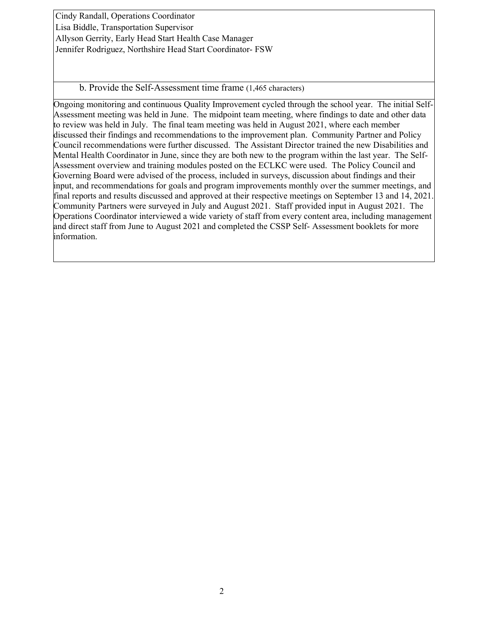Cindy Randall, Operations Coordinator Lisa Biddle, Transportation Supervisor Allyson Gerrity, Early Head Start Health Case Manager Jennifer Rodriguez, Northshire Head Start Coordinator- FSW

b. Provide the Self-Assessment time frame (1,465 characters)

Ongoing monitoring and continuous Quality Improvement cycled through the school year. The initial Self-Assessment meeting was held in June. The midpoint team meeting, where findings to date and other data to review was held in July. The final team meeting was held in August 2021, where each member discussed their findings and recommendations to the improvement plan. Community Partner and Policy Council recommendations were further discussed. The Assistant Director trained the new Disabilities and Mental Health Coordinator in June, since they are both new to the program within the last year. The Self-Assessment overview and training modules posted on the ECLKC were used. The Policy Council and Governing Board were advised of the process, included in surveys, discussion about findings and their input, and recommendations for goals and program improvements monthly over the summer meetings, and final reports and results discussed and approved at their respective meetings on September 13 and 14, 2021. Community Partners were surveyed in July and August 2021. Staff provided input in August 2021. The Operations Coordinator interviewed a wide variety of staff from every content area, including management and direct staff from June to August 2021 and completed the CSSP Self- Assessment booklets for more information.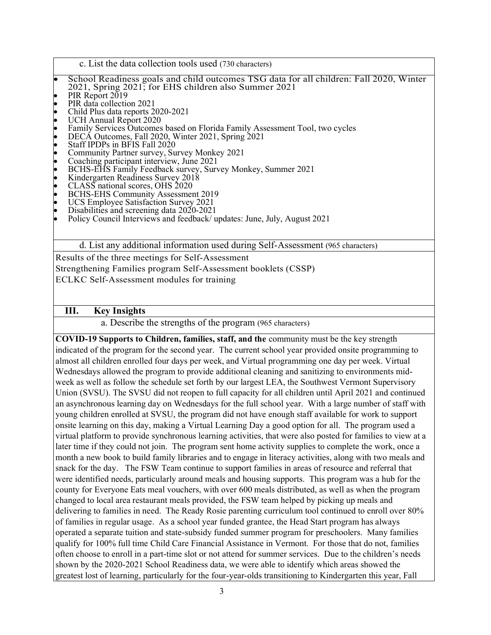- c. List the data collection tools used (730 characters)
- School Readiness goals and child outcomes TSG data for all children: Fall 2020, Winter 2021, Spring 2021; for EHS children also Summer 2021
- 
- 
- 
- 
- PIR Report 2019<br>
PIR data collection 2021<br>
Child Plus data reports 2020-2021<br>
UCH Annual Report 2020<br>
Eamily Services Outcomes based on Florida Family Assessment Tool, two cycles<br>
DECA Outcomes, Fall 2020, Winter 2021, Spr
- 
- 
- 
- 
- 
- 
- 
- 
- 
- 
- 

d. List any additional information used during Self-Assessment (965 characters)

Results of the three meetings for Self-Assessment Strengthening Families program Self-Assessment booklets (CSSP) ECLKC Self-Assessment modules for training

#### **III. Key Insights**

a. Describe the strengths of the program (965 characters)

**COVID-19 Supports to Children, families, staff, and the** community must be the key strength indicated of the program for the second year. The current school year provided onsite programming to almost all children enrolled four days per week, and Virtual programming one day per week. Virtual Wednesdays allowed the program to provide additional cleaning and sanitizing to environments midweek as well as follow the schedule set forth by our largest LEA, the Southwest Vermont Supervisory Union (SVSU). The SVSU did not reopen to full capacity for all children until April 2021 and continued an asynchronous learning day on Wednesdays for the full school year. With a large number of staff with young children enrolled at SVSU, the program did not have enough staff available for work to support onsite learning on this day, making a Virtual Learning Day a good option for all. The program used a virtual platform to provide synchronous learning activities, that were also posted for families to view at a later time if they could not join. The program sent home activity supplies to complete the work, once a month a new book to build family libraries and to engage in literacy activities, along with two meals and snack for the day. The FSW Team continue to support families in areas of resource and referral that were identified needs, particularly around meals and housing supports. This program was a hub for the county for Everyone Eats meal vouchers, with over 600 meals distributed, as well as when the program changed to local area restaurant meals provided, the FSW team helped by picking up meals and delivering to families in need. The Ready Rosie parenting curriculum tool continued to enroll over 80% of families in regular usage. As a school year funded grantee, the Head Start program has always operated a separate tuition and state-subsidy funded summer program for preschoolers. Many families qualify for 100% full time Child Care Financial Assistance in Vermont. For those that do not, families often choose to enroll in a part-time slot or not attend for summer services. Due to the children's needs shown by the 2020-2021 School Readiness data, we were able to identify which areas showed the greatest lost of learning, particularly for the four-year-olds transitioning to Kindergarten this year, Fall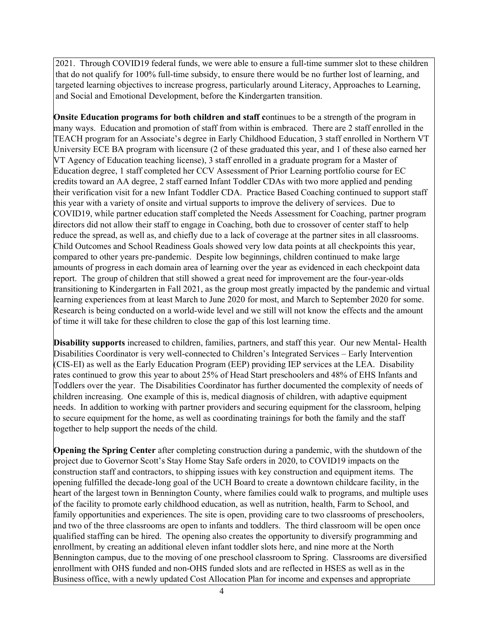2021. Through COVID19 federal funds, we were able to ensure a full-time summer slot to these children that do not qualify for 100% full-time subsidy, to ensure there would be no further lost of learning, and targeted learning objectives to increase progress, particularly around Literacy, Approaches to Learning, and Social and Emotional Development, before the Kindergarten transition.

**Onsite Education programs for both children and staff c**ontinues to be a strength of the program in many ways. Education and promotion of staff from within is embraced. There are 2 staff enrolled in the TEACH program for an Associate's degree in Early Childhood Education, 3 staff enrolled in Northern VT University ECE BA program with licensure (2 of these graduated this year, and 1 of these also earned her VT Agency of Education teaching license), 3 staff enrolled in a graduate program for a Master of Education degree, 1 staff completed her CCV Assessment of Prior Learning portfolio course for EC credits toward an AA degree, 2 staff earned Infant Toddler CDAs with two more applied and pending their verification visit for a new Infant Toddler CDA. Practice Based Coaching continued to support staff this year with a variety of onsite and virtual supports to improve the delivery of services. Due to COVID19, while partner education staff completed the Needs Assessment for Coaching, partner program directors did not allow their staff to engage in Coaching, both due to crossover of center staff to help reduce the spread, as well as, and chiefly due to a lack of coverage at the partner sites in all classrooms. Child Outcomes and School Readiness Goals showed very low data points at all checkpoints this year, compared to other years pre-pandemic. Despite low beginnings, children continued to make large amounts of progress in each domain area of learning over the year as evidenced in each checkpoint data report. The group of children that still showed a great need for improvement are the four-year-olds transitioning to Kindergarten in Fall 2021, as the group most greatly impacted by the pandemic and virtual learning experiences from at least March to June 2020 for most, and March to September 2020 for some. Research is being conducted on a world-wide level and we still will not know the effects and the amount of time it will take for these children to close the gap of this lost learning time.

**Disability supports** increased to children, families, partners, and staff this year. Our new Mental- Health Disabilities Coordinator is very well-connected to Children's Integrated Services – Early Intervention (CIS-EI) as well as the Early Education Program (EEP) providing IEP services at the LEA. Disability rates continued to grow this year to about 25% of Head Start preschoolers and 48% of EHS Infants and Toddlers over the year. The Disabilities Coordinator has further documented the complexity of needs of children increasing. One example of this is, medical diagnosis of children, with adaptive equipment needs. In addition to working with partner providers and securing equipment for the classroom, helping to secure equipment for the home, as well as coordinating trainings for both the family and the staff together to help support the needs of the child.

**Opening the Spring Center** after completing construction during a pandemic, with the shutdown of the project due to Governor Scott's Stay Home Stay Safe orders in 2020, to COVID19 impacts on the construction staff and contractors, to shipping issues with key construction and equipment items. The opening fulfilled the decade-long goal of the UCH Board to create a downtown childcare facility, in the heart of the largest town in Bennington County, where families could walk to programs, and multiple uses of the facility to promote early childhood education, as well as nutrition, health, Farm to School, and family opportunities and experiences. The site is open, providing care to two classrooms of preschoolers, and two of the three classrooms are open to infants and toddlers. The third classroom will be open once qualified staffing can be hired. The opening also creates the opportunity to diversify programming and enrollment, by creating an additional eleven infant toddler slots here, and nine more at the North Bennington campus, due to the moving of one preschool classroom to Spring. Classrooms are diversified enrollment with OHS funded and non-OHS funded slots and are reflected in HSES as well as in the Business office, with a newly updated Cost Allocation Plan for income and expenses and appropriate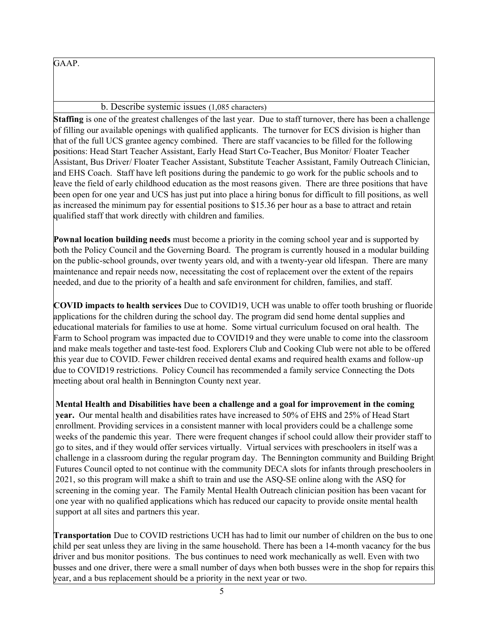GAAP.

b. Describe systemic issues (1,085 characters)

**Staffing** is one of the greatest challenges of the last year. Due to staff turnover, there has been a challenge of filling our available openings with qualified applicants. The turnover for ECS division is higher than that of the full UCS grantee agency combined. There are staff vacancies to be filled for the following positions: Head Start Teacher Assistant, Early Head Start Co-Teacher, Bus Monitor/ Floater Teacher Assistant, Bus Driver/ Floater Teacher Assistant, Substitute Teacher Assistant, Family Outreach Clinician, and EHS Coach. Staff have left positions during the pandemic to go work for the public schools and to leave the field of early childhood education as the most reasons given. There are three positions that have been open for one year and UCS has just put into place a hiring bonus for difficult to fill positions, as well as increased the minimum pay for essential positions to \$15.36 per hour as a base to attract and retain qualified staff that work directly with children and families.

**Pownal location building needs** must become a priority in the coming school year and is supported by both the Policy Council and the Governing Board. The program is currently housed in a modular building on the public-school grounds, over twenty years old, and with a twenty-year old lifespan. There are many maintenance and repair needs now, necessitating the cost of replacement over the extent of the repairs needed, and due to the priority of a health and safe environment for children, families, and staff.

**COVID impacts to health services** Due to COVID19, UCH was unable to offer tooth brushing or fluoride applications for the children during the school day. The program did send home dental supplies and educational materials for families to use at home. Some virtual curriculum focused on oral health. The Farm to School program was impacted due to COVID19 and they were unable to come into the classroom and make meals together and taste-test food. Explorers Club and Cooking Club were not able to be offered this year due to COVID. Fewer children received dental exams and required health exams and follow-up due to COVID19 restrictions. Policy Council has recommended a family service Connecting the Dots meeting about oral health in Bennington County next year.

**Mental Health and Disabilities have been a challenge and a goal for improvement in the coming year.** Our mental health and disabilities rates have increased to 50% of EHS and 25% of Head Start enrollment. Providing services in a consistent manner with local providers could be a challenge some weeks of the pandemic this year. There were frequent changes if school could allow their provider staff to go to sites, and if they would offer services virtually. Virtual services with preschoolers in itself was a challenge in a classroom during the regular program day. The Bennington community and Building Bright Futures Council opted to not continue with the community DECA slots for infants through preschoolers in 2021, so this program will make a shift to train and use the ASQ-SE online along with the ASQ for screening in the coming year. The Family Mental Health Outreach clinician position has been vacant for one year with no qualified applications which has reduced our capacity to provide onsite mental health support at all sites and partners this year.

**Transportation** Due to COVID restrictions UCH has had to limit our number of children on the bus to one child per seat unless they are living in the same household. There has been a 14-month vacancy for the bus driver and bus monitor positions. The bus continues to need work mechanically as well. Even with two busses and one driver, there were a small number of days when both busses were in the shop for repairs this year, and a bus replacement should be a priority in the next year or two.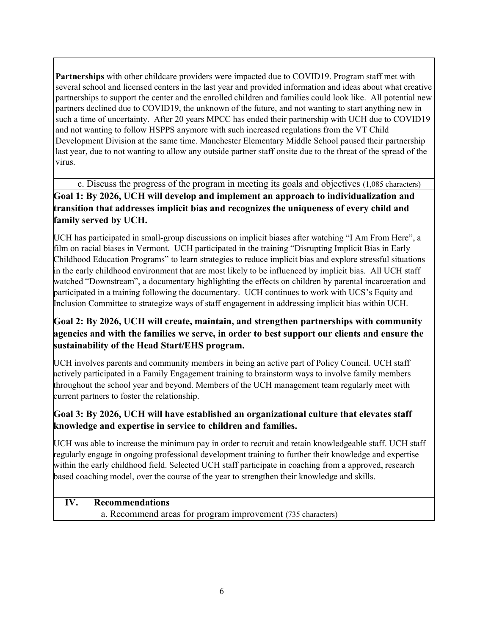**Partnerships** with other childcare providers were impacted due to COVID19. Program staff met with several school and licensed centers in the last year and provided information and ideas about what creative partnerships to support the center and the enrolled children and families could look like. All potential new partners declined due to COVID19, the unknown of the future, and not wanting to start anything new in such a time of uncertainty. After 20 years MPCC has ended their partnership with UCH due to COVID19 and not wanting to follow HSPPS anymore with such increased regulations from the VT Child Development Division at the same time. Manchester Elementary Middle School paused their partnership last year, due to not wanting to allow any outside partner staff onsite due to the threat of the spread of the virus.

c. Discuss the progress of the program in meeting its goals and objectives (1,085 characters)

**Goal 1: By 2026, UCH will develop and implement an approach to individualization and transition that addresses implicit bias and recognizes the uniqueness of every child and family served by UCH.**

UCH has participated in small-group discussions on implicit biases after watching "I Am From Here", a film on racial biases in Vermont. UCH participated in the training "Disrupting Implicit Bias in Early Childhood Education Programs" to learn strategies to reduce implicit bias and explore stressful situations in the early childhood environment that are most likely to be influenced by implicit bias. All UCH staff watched "Downstream", a documentary highlighting the effects on children by parental incarceration and participated in a training following the documentary. UCH continues to work with UCS's Equity and Inclusion Committee to strategize ways of staff engagement in addressing implicit bias within UCH.

## **Goal 2: By 2026, UCH will create, maintain, and strengthen partnerships with community agencies and with the families we serve, in order to best support our clients and ensure the sustainability of the Head Start/EHS program.**

UCH involves parents and community members in being an active part of Policy Council. UCH staff actively participated in a Family Engagement training to brainstorm ways to involve family members throughout the school year and beyond. Members of the UCH management team regularly meet with current partners to foster the relationship.

## **Goal 3: By 2026, UCH will have established an organizational culture that elevates staff knowledge and expertise in service to children and families.**

UCH was able to increase the minimum pay in order to recruit and retain knowledgeable staff. UCH staff regularly engage in ongoing professional development training to further their knowledge and expertise within the early childhood field. Selected UCH staff participate in coaching from a approved, research based coaching model, over the course of the year to strengthen their knowledge and skills.

## **IV. Recommendations**

a. Recommend areas for program improvement (735 characters)